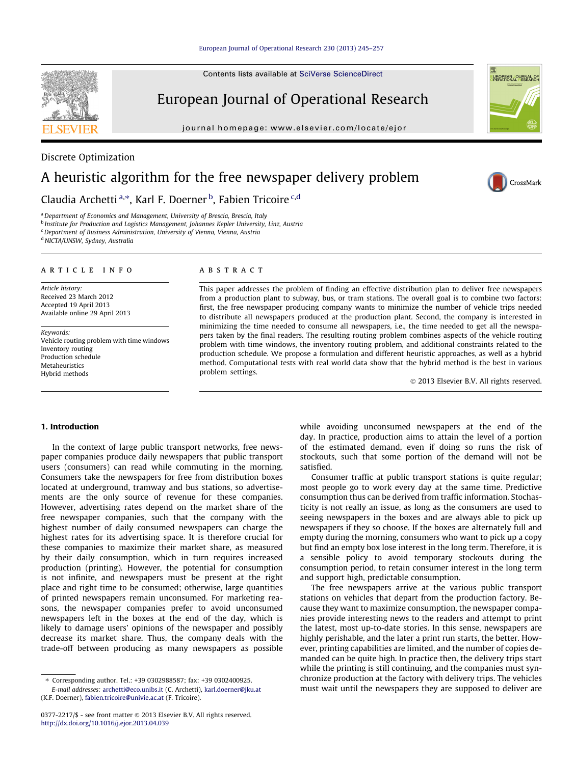## [European Journal of Operational Research 230 \(2013\) 245–257](http://dx.doi.org/10.1016/j.ejor.2013.04.039)

Contents lists available at [SciVerse ScienceDirect](http://www.sciencedirect.com/science/journal/03772217)

European Journal of Operational Research

journal homepage: [www.elsevier.com/locate/ejor](http://www.elsevier.com/locate/ejor)



Claudia Archetti<sup>a,\*</sup>, Karl F. Doerner<sup>b</sup>, Fabien Tricoire<sup>c,d</sup>

<sup>a</sup> Department of Economics and Management, University of Brescia, Brescia, Italy

<sup>b</sup> Institute for Production and Logistics Management, Johannes Kepler University, Linz, Austria

<sup>c</sup>Department of Business Administration, University of Vienna, Vienna, Austria

<sup>d</sup> NICTA/UNSW, Sydney, Australia

Discrete Optimization

## article info

Article history: Received 23 March 2012 Accepted 19 April 2013 Available online 29 April 2013

Keywords: Vehicle routing problem with time windows Inventory routing Production schedule Metaheuristics Hybrid methods

#### **ABSTRACT**

This paper addresses the problem of finding an effective distribution plan to deliver free newspapers from a production plant to subway, bus, or tram stations. The overall goal is to combine two factors: first, the free newspaper producing company wants to minimize the number of vehicle trips needed to distribute all newspapers produced at the production plant. Second, the company is interested in minimizing the time needed to consume all newspapers, i.e., the time needed to get all the newspapers taken by the final readers. The resulting routing problem combines aspects of the vehicle routing problem with time windows, the inventory routing problem, and additional constraints related to the production schedule. We propose a formulation and different heuristic approaches, as well as a hybrid method. Computational tests with real world data show that the hybrid method is the best in various problem settings.

- 2013 Elsevier B.V. All rights reserved.

#### 1. Introduction

In the context of large public transport networks, free newspaper companies produce daily newspapers that public transport users (consumers) can read while commuting in the morning. Consumers take the newspapers for free from distribution boxes located at underground, tramway and bus stations, so advertisements are the only source of revenue for these companies. However, advertising rates depend on the market share of the free newspaper companies, such that the company with the highest number of daily consumed newspapers can charge the highest rates for its advertising space. It is therefore crucial for these companies to maximize their market share, as measured by their daily consumption, which in turn requires increased production (printing). However, the potential for consumption is not infinite, and newspapers must be present at the right place and right time to be consumed; otherwise, large quantities of printed newspapers remain unconsumed. For marketing reasons, the newspaper companies prefer to avoid unconsumed newspapers left in the boxes at the end of the day, which is likely to damage users' opinions of the newspaper and possibly decrease its market share. Thus, the company deals with the trade-off between producing as many newspapers as possible while avoiding unconsumed newspapers at the end of the day. In practice, production aims to attain the level of a portion of the estimated demand, even if doing so runs the risk of stockouts, such that some portion of the demand will not be satisfied.

Consumer traffic at public transport stations is quite regular; most people go to work every day at the same time. Predictive consumption thus can be derived from traffic information. Stochasticity is not really an issue, as long as the consumers are used to seeing newspapers in the boxes and are always able to pick up newspapers if they so choose. If the boxes are alternately full and empty during the morning, consumers who want to pick up a copy but find an empty box lose interest in the long term. Therefore, it is a sensible policy to avoid temporary stockouts during the consumption period, to retain consumer interest in the long term and support high, predictable consumption.

The free newspapers arrive at the various public transport stations on vehicles that depart from the production factory. Because they want to maximize consumption, the newspaper companies provide interesting news to the readers and attempt to print the latest, most up-to-date stories. In this sense, newspapers are highly perishable, and the later a print run starts, the better. However, printing capabilities are limited, and the number of copies demanded can be quite high. In practice then, the delivery trips start while the printing is still continuing, and the companies must synchronize production at the factory with delivery trips. The vehicles must wait until the newspapers they are supposed to deliver are





CrossMark

™™<br>EUROPEAN JOURNAL OI<br>DPERATIONAL RESEARCI

<sup>⇑</sup> Corresponding author. Tel.: +39 0302988587; fax: +39 0302400925. E-mail addresses: [archetti@eco.unibs.it](mailto:archetti@eco.unibs.it) (C. Archetti), [karl.doerner@jku.at](mailto:karl.doerner@jku.at) (K.F. Doerner), [fabien.tricoire@univie.ac.at](mailto:fabien.tricoire@univie.ac.at) (F. Tricoire).

<sup>0377-2217/\$ -</sup> see front matter © 2013 Elsevier B.V. All rights reserved. <http://dx.doi.org/10.1016/j.ejor.2013.04.039>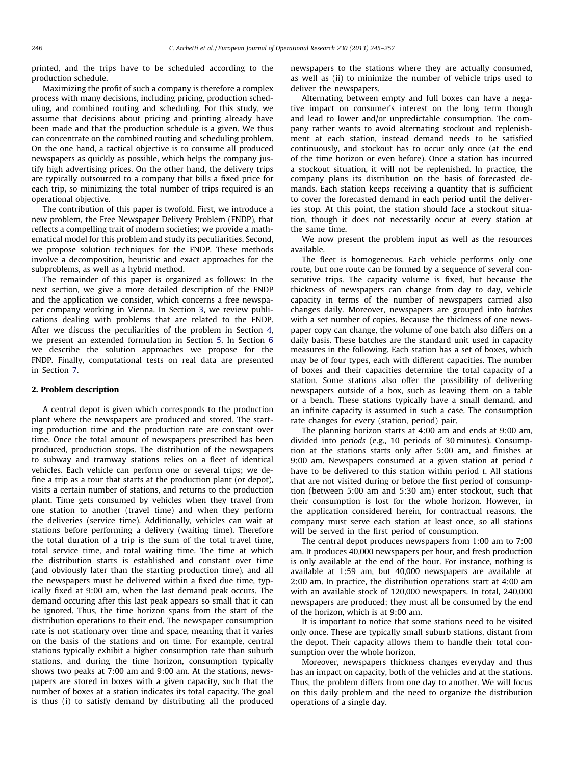printed, and the trips have to be scheduled according to the production schedule.

Maximizing the profit of such a company is therefore a complex process with many decisions, including pricing, production scheduling, and combined routing and scheduling. For this study, we assume that decisions about pricing and printing already have been made and that the production schedule is a given. We thus can concentrate on the combined routing and scheduling problem. On the one hand, a tactical objective is to consume all produced newspapers as quickly as possible, which helps the company justify high advertising prices. On the other hand, the delivery trips are typically outsourced to a company that bills a fixed price for each trip, so minimizing the total number of trips required is an operational objective.

The contribution of this paper is twofold. First, we introduce a new problem, the Free Newspaper Delivery Problem (FNDP), that reflects a compelling trait of modern societies; we provide a mathematical model for this problem and study its peculiarities. Second, we propose solution techniques for the FNDP. These methods involve a decomposition, heuristic and exact approaches for the subproblems, as well as a hybrid method.

The remainder of this paper is organized as follows: In the next section, we give a more detailed description of the FNDP and the application we consider, which concerns a free newspaper company working in Vienna. In Section [3](#page--1-0), we review publications dealing with problems that are related to the FNDP. After we discuss the peculiarities of the problem in Section [4,](#page--1-0) we present an extended formulation in Section [5.](#page--1-0) In Section [6](#page--1-0) we describe the solution approaches we propose for the FNDP. Finally, computational tests on real data are presented in Section [7.](#page--1-0)

### 2. Problem description

A central depot is given which corresponds to the production plant where the newspapers are produced and stored. The starting production time and the production rate are constant over time. Once the total amount of newspapers prescribed has been produced, production stops. The distribution of the newspapers to subway and tramway stations relies on a fleet of identical vehicles. Each vehicle can perform one or several trips; we define a trip as a tour that starts at the production plant (or depot), visits a certain number of stations, and returns to the production plant. Time gets consumed by vehicles when they travel from one station to another (travel time) and when they perform the deliveries (service time). Additionally, vehicles can wait at stations before performing a delivery (waiting time). Therefore the total duration of a trip is the sum of the total travel time, total service time, and total waiting time. The time at which the distribution starts is established and constant over time (and obviously later than the starting production time), and all the newspapers must be delivered within a fixed due time, typically fixed at 9:00 am, when the last demand peak occurs. The demand occuring after this last peak appears so small that it can be ignored. Thus, the time horizon spans from the start of the distribution operations to their end. The newspaper consumption rate is not stationary over time and space, meaning that it varies on the basis of the stations and on time. For example, central stations typically exhibit a higher consumption rate than suburb stations, and during the time horizon, consumption typically shows two peaks at 7:00 am and 9:00 am. At the stations, newspapers are stored in boxes with a given capacity, such that the number of boxes at a station indicates its total capacity. The goal is thus (i) to satisfy demand by distributing all the produced newspapers to the stations where they are actually consumed, as well as (ii) to minimize the number of vehicle trips used to deliver the newspapers.

Alternating between empty and full boxes can have a negative impact on consumer's interest on the long term though and lead to lower and/or unpredictable consumption. The company rather wants to avoid alternating stockout and replenishment at each station, instead demand needs to be satisfied continuously, and stockout has to occur only once (at the end of the time horizon or even before). Once a station has incurred a stockout situation, it will not be replenished. In practice, the company plans its distribution on the basis of forecasted demands. Each station keeps receiving a quantity that is sufficient to cover the forecasted demand in each period until the deliveries stop. At this point, the station should face a stockout situation, though it does not necessarily occur at every station at the same time.

We now present the problem input as well as the resources available.

The fleet is homogeneous. Each vehicle performs only one route, but one route can be formed by a sequence of several consecutive trips. The capacity volume is fixed, but because the thickness of newspapers can change from day to day, vehicle capacity in terms of the number of newspapers carried also changes daily. Moreover, newspapers are grouped into batches with a set number of copies. Because the thickness of one newspaper copy can change, the volume of one batch also differs on a daily basis. These batches are the standard unit used in capacity measures in the following. Each station has a set of boxes, which may be of four types, each with different capacities. The number of boxes and their capacities determine the total capacity of a station. Some stations also offer the possibility of delivering newspapers outside of a box, such as leaving them on a table or a bench. These stations typically have a small demand, and an infinite capacity is assumed in such a case. The consumption rate changes for every (station, period) pair.

The planning horizon starts at 4:00 am and ends at 9:00 am, divided into periods (e.g., 10 periods of 30 minutes). Consumption at the stations starts only after 5:00 am, and finishes at 9:00 am. Newspapers consumed at a given station at period  $t$ have to be delivered to this station within period  $t$ . All stations that are not visited during or before the first period of consumption (between 5:00 am and 5:30 am) enter stockout, such that their consumption is lost for the whole horizon. However, in the application considered herein, for contractual reasons, the company must serve each station at least once, so all stations will be served in the first period of consumption.

The central depot produces newspapers from 1:00 am to 7:00 am. It produces 40,000 newspapers per hour, and fresh production is only available at the end of the hour. For instance, nothing is available at 1:59 am, but 40,000 newspapers are available at 2:00 am. In practice, the distribution operations start at 4:00 am with an available stock of 120,000 newspapers. In total, 240,000 newspapers are produced; they must all be consumed by the end of the horizon, which is at 9:00 am.

It is important to notice that some stations need to be visited only once. These are typically small suburb stations, distant from the depot. Their capacity allows them to handle their total consumption over the whole horizon.

Moreover, newspapers thickness changes everyday and thus has an impact on capacity, both of the vehicles and at the stations. Thus, the problem differs from one day to another. We will focus on this daily problem and the need to organize the distribution operations of a single day.